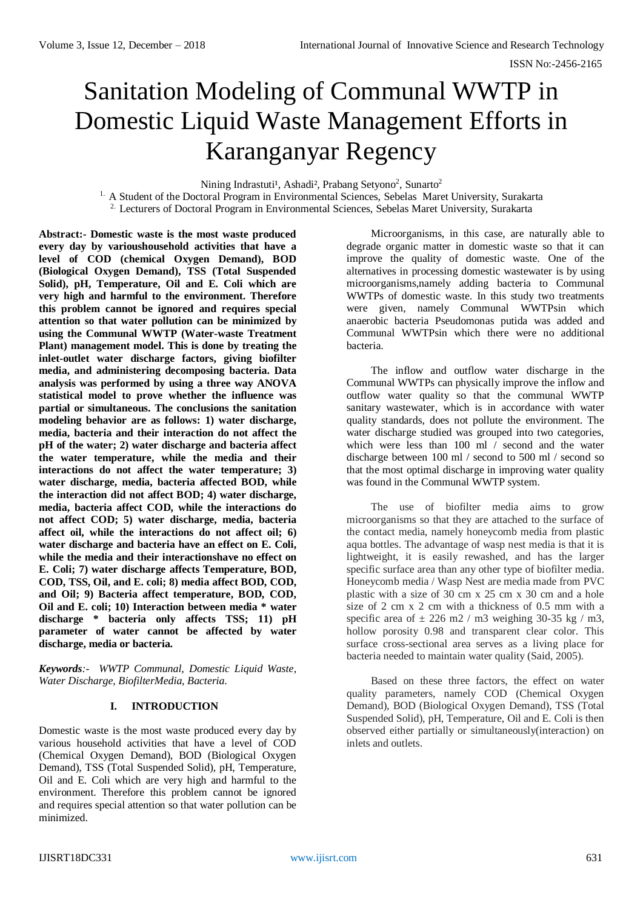# Sanitation Modeling of Communal WWTP in Domestic Liquid Waste Management Efforts in Karanganyar Regency

Nining Indrastuti<sup>1</sup>, Ashadi<sup>2</sup>, Prabang Setyono<sup>2</sup>, Sunarto<sup>2</sup>

<sup>1.</sup> A Student of the Doctoral Program in Environmental Sciences, Sebelas Maret University, Surakarta <sup>2.</sup> Lecturers of Doctoral Program in Environmental Sciences, Sebelas Maret University, Surakarta

**Abstract:- Domestic waste is the most waste produced every day by varioushousehold activities that have a level of COD (chemical Oxygen Demand), BOD (Biological Oxygen Demand), TSS (Total Suspended Solid), pH, Temperature, Oil and E. Coli which are very high and harmful to the environment. Therefore this problem cannot be ignored and requires special attention so that water pollution can be minimized by using the Communal WWTP (Water-waste Treatment Plant) management model. This is done by treating the inlet-outlet water discharge factors, giving biofilter media, and administering decomposing bacteria. Data analysis was performed by using a three way ANOVA statistical model to prove whether the influence was partial or simultaneous. The conclusions the sanitation modeling behavior are as follows: 1) water discharge, media, bacteria and their interaction do not affect the pH of the water; 2) water discharge and bacteria affect the water temperature, while the media and their interactions do not affect the water temperature; 3) water discharge, media, bacteria affected BOD, while the interaction did not affect BOD; 4) water discharge, media, bacteria affect COD, while the interactions do not affect COD; 5) water discharge, media, bacteria affect oil, while the interactions do not affect oil; 6) water discharge and bacteria have an effect on E. Coli, while the media and their interactionshave no effect on E. Coli; 7) water discharge affects Temperature, BOD, COD, TSS, Oil, and E. coli; 8) media affect BOD, COD, and Oil; 9) Bacteria affect temperature, BOD, COD, Oil and E. coli; 10) Interaction between media \* water discharge \* bacteria only affects TSS; 11) pH parameter of water cannot be affected by water discharge, media or bacteria.**

*Keywords:- WWTP Communal, Domestic Liquid Waste, Water Discharge, BiofilterMedia, Bacteria.*

# **I. INTRODUCTION**

Domestic waste is the most waste produced every day by various household activities that have a level of COD (Chemical Oxygen Demand), BOD (Biological Oxygen Demand), TSS (Total Suspended Solid), pH, Temperature, Oil and E. Coli which are very high and harmful to the environment. Therefore this problem cannot be ignored and requires special attention so that water pollution can be minimized.

Microorganisms, in this case, are naturally able to degrade organic matter in domestic waste so that it can improve the quality of domestic waste. One of the alternatives in processing domestic wastewater is by using microorganisms,namely adding bacteria to Communal WWTPs of domestic waste. In this study two treatments were given, namely Communal WWTPsin which anaerobic bacteria Pseudomonas putida was added and Communal WWTPsin which there were no additional bacteria.

The inflow and outflow water discharge in the Communal WWTPs can physically improve the inflow and outflow water quality so that the communal WWTP sanitary wastewater, which is in accordance with water quality standards, does not pollute the environment. The water discharge studied was grouped into two categories, which were less than 100 ml / second and the water discharge between 100 ml / second to 500 ml / second so that the most optimal discharge in improving water quality was found in the Communal WWTP system.

The use of biofilter media aims to grow microorganisms so that they are attached to the surface of the contact media, namely honeycomb media from plastic aqua bottles. The advantage of wasp nest media is that it is lightweight, it is easily rewashed, and has the larger specific surface area than any other type of biofilter media. Honeycomb media / Wasp Nest are media made from PVC plastic with a size of 30 cm x 25 cm x 30 cm and a hole size of 2 cm x 2 cm with a thickness of 0.5 mm with a specific area of  $\pm$  226 m2 / m3 weighing 30-35 kg / m3, hollow porosity 0.98 and transparent clear color. This surface cross-sectional area serves as a living place for bacteria needed to maintain water quality (Said, 2005).

Based on these three factors, the effect on water quality parameters, namely COD (Chemical Oxygen Demand), BOD (Biological Oxygen Demand), TSS (Total Suspended Solid), pH, Temperature, Oil and E. Coli is then observed either partially or simultaneously(interaction) on inlets and outlets.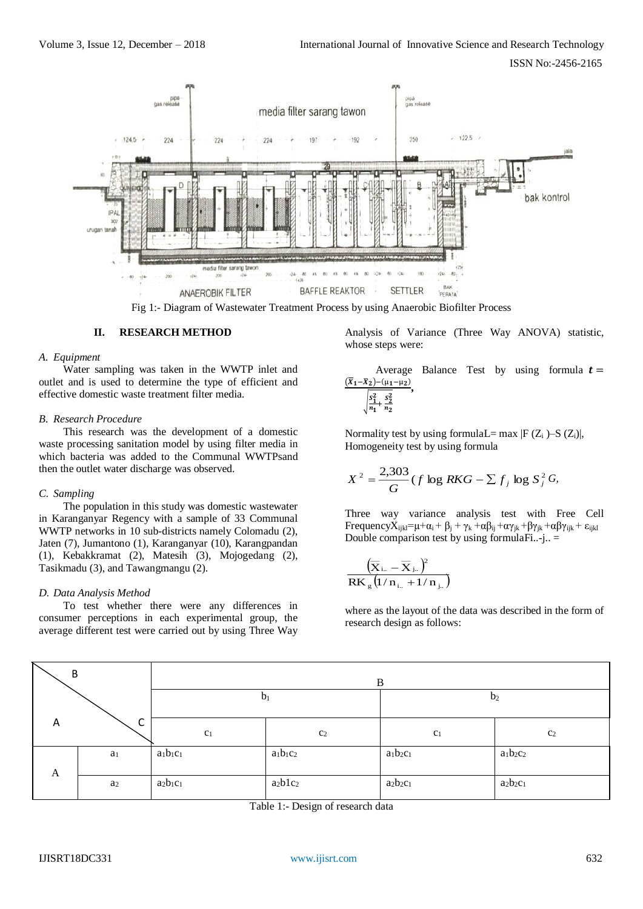

Fig 1:- Diagram of Wastewater Treatment Process by using Anaerobic Biofilter Process

#### **II. RESEARCH METHOD**

#### *A. Equipment*

Water sampling was taken in the WWTP inlet and outlet and is used to determine the type of efficient and effective domestic waste treatment filter media.

#### *B. Research Procedure*

This research was the development of a domestic waste processing sanitation model by using filter media in which bacteria was added to the Communal WWTPsand then the outlet water discharge was observed.

#### *C. Sampling*

The population in this study was domestic wastewater in Karanganyar Regency with a sample of 33 Communal WWTP networks in 10 sub-districts namely Colomadu (2), Jaten (7), Jumantono (1), Karanganyar (10), Karangpandan (1), Kebakkramat (2), Matesih (3), Mojogedang (2), Tasikmadu (3), and Tawangmangu (2).

#### *D. Data Analysis Method*

To test whether there were any differences in consumer perceptions in each experimental group, the average different test were carried out by using Three Way Analysis of Variance (Three Way ANOVA) statistic, whose steps were:

Average Balance Test by using formula 
$$
t = \frac{(\overline{x}_1 - \overline{x}_2) - (\mu_1 - \mu_2)}{\sqrt{\frac{s_1^2}{n_1} + \frac{s_2^2}{n_2}}}
$$

Normality test by using formulaL= max  $|F(Z_i) - S(Z_i)|$ , Homogeneity test by using formula

$$
X^{2} = \frac{2,303}{G} (f \log RKG - \sum f_{j} \log S_{j}^{2} G,
$$

Three way variance analysis test with Free Cell Frequency $\overline{X}_{ijkl}=\mu+\alpha_i+\beta_i+\gamma_k+\alpha\beta_{ij}+\alpha\gamma_{ik}+\beta\gamma_{ik}+\alpha\beta\gamma_{ijk}+\epsilon_{ijkl}$ Double comparison test by using formulaFi..-j..  $=$ 

$$
\frac{\left(\overline{\mathbf{X}}_{i..} - \overline{\mathbf{X}}_{j..}\right)^2}{RK_g \left(1/n_{i..} + 1/n_{j..}\right)}
$$

where as the layout of the data was described in the form of research design as follows:

| ↖<br>B |                | B              |                |                |                |  |  |  |
|--------|----------------|----------------|----------------|----------------|----------------|--|--|--|
|        |                | $b_1$          |                | b <sub>2</sub> |                |  |  |  |
| A      | ╭<br>◡         | c <sub>1</sub> | c <sub>2</sub> | c <sub>1</sub> | c <sub>2</sub> |  |  |  |
| A      | a <sub>1</sub> | $a_1b_1c_1$    | $a_1b_1c_2$    | $a_1b_2c_1$    | $a_1b_2c_2$    |  |  |  |
|        | $a_2$          | $a_2b_1c_1$    | $a_2b1c_2$     | $a_2b_2c_1$    | $a_2b_2c_1$    |  |  |  |

Table 1:- Design of research data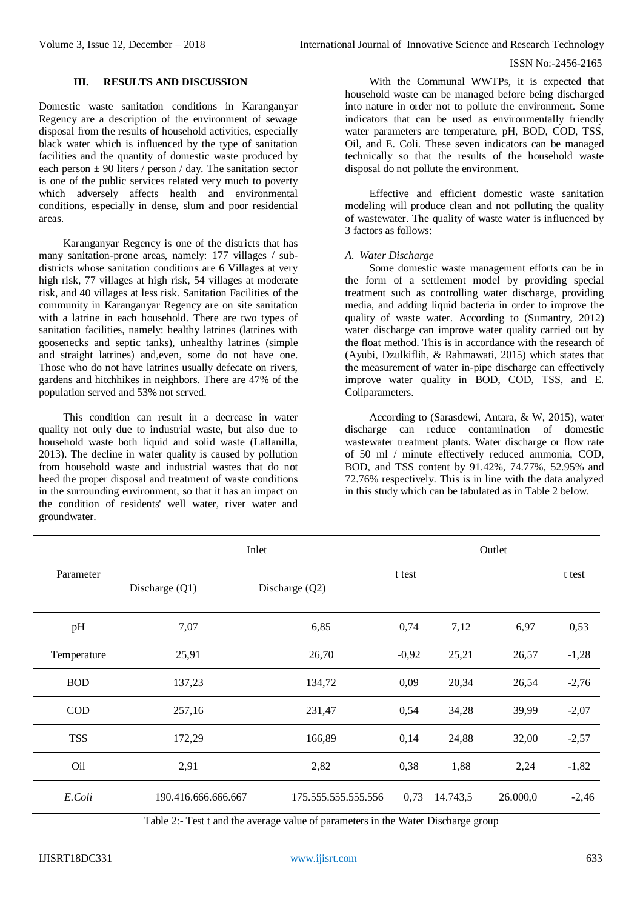# **III. RESULTS AND DISCUSSION**

Domestic waste sanitation conditions in Karanganyar Regency are a description of the environment of sewage disposal from the results of household activities, especially black water which is influenced by the type of sanitation facilities and the quantity of domestic waste produced by each person  $\pm$  90 liters / person / day. The sanitation sector is one of the public services related very much to poverty which adversely affects health and environmental conditions, especially in dense, slum and poor residential areas.

Karanganyar Regency is one of the districts that has many sanitation-prone areas, namely: 177 villages / subdistricts whose sanitation conditions are 6 Villages at very high risk, 77 villages at high risk, 54 villages at moderate risk, and 40 villages at less risk. Sanitation Facilities of the community in Karanganyar Regency are on site sanitation with a latrine in each household. There are two types of sanitation facilities, namely: healthy latrines (latrines with goosenecks and septic tanks), unhealthy latrines (simple and straight latrines) and,even, some do not have one. Those who do not have latrines usually defecate on rivers, gardens and hitchhikes in neighbors. There are 47% of the population served and 53% not served.

This condition can result in a decrease in water quality not only due to industrial waste, but also due to household waste both liquid and solid waste (Lallanilla, 2013). The decline in water quality is caused by pollution from household waste and industrial wastes that do not heed the proper disposal and treatment of waste conditions in the surrounding environment, so that it has an impact on the condition of residents' well water, river water and groundwater.

With the Communal WWTPs, it is expected that household waste can be managed before being discharged into nature in order not to pollute the environment. Some indicators that can be used as environmentally friendly water parameters are temperature, pH, BOD, COD, TSS, Oil, and E. Coli. These seven indicators can be managed technically so that the results of the household waste disposal do not pollute the environment.

Effective and efficient domestic waste sanitation modeling will produce clean and not polluting the quality of wastewater. The quality of waste water is influenced by 3 factors as follows:

### *A. Water Discharge*

Some domestic waste management efforts can be in the form of a settlement model by providing special treatment such as controlling water discharge, providing media, and adding liquid bacteria in order to improve the quality of waste water. According to (Sumantry, 2012) water discharge can improve water quality carried out by the float method. This is in accordance with the research of (Ayubi, Dzulkiflih, & Rahmawati, 2015) which states that the measurement of water in-pipe discharge can effectively improve water quality in BOD, COD, TSS, and E. Coliparameters.

According to (Sarasdewi, Antara, & W, 2015), water discharge can reduce contamination of domestic wastewater treatment plants. Water discharge or flow rate of 50 ml / minute effectively reduced ammonia, COD, BOD, and TSS content by 91.42%, 74.77%, 52.95% and 72.76% respectively. This is in line with the data analyzed in this study which can be tabulated as in Table 2 below.

|             | Inlet                                |                     | Outlet  |          |          |         |
|-------------|--------------------------------------|---------------------|---------|----------|----------|---------|
| Parameter   | Discharge $(Q1)$<br>Discharge $(Q2)$ |                     | t test  |          |          | t test  |
| pH          | 7,07                                 | 6,85                | 0,74    | 7,12     | 6,97     | 0,53    |
| Temperature | 25,91                                | 26,70               | $-0,92$ | 25,21    | 26,57    | $-1,28$ |
| <b>BOD</b>  | 137,23                               | 134,72              | 0,09    | 20,34    | 26,54    | $-2,76$ |
| COD         | 257,16                               | 231,47              | 0,54    | 34,28    | 39,99    | $-2,07$ |
| <b>TSS</b>  | 172,29                               | 166,89              | 0,14    | 24,88    | 32,00    | $-2,57$ |
| Oil         | 2,91                                 | 2,82                | 0,38    | 1,88     | 2,24     | $-1,82$ |
| E.Coli      | 190.416.666.666.667                  | 175.555.555.555.556 | 0,73    | 14.743,5 | 26.000,0 | $-2,46$ |

Table 2:- Test t and the average value of parameters in the Water Discharge group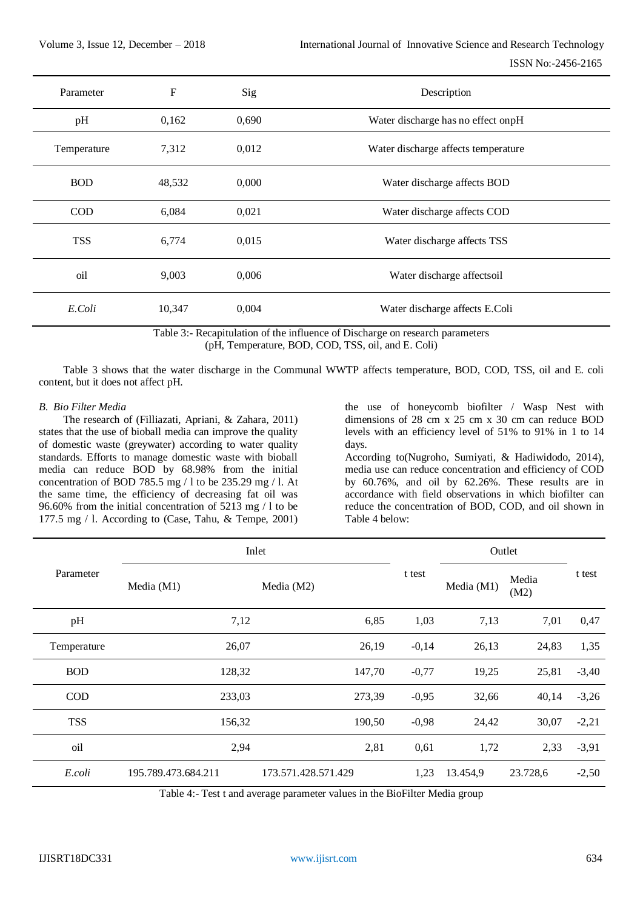| Parameter   | $\mathbf F$ | Sig   | Description                         |
|-------------|-------------|-------|-------------------------------------|
| pH          | 0,162       | 0,690 | Water discharge has no effect onpH  |
| Temperature | 7,312       | 0,012 | Water discharge affects temperature |
| <b>BOD</b>  | 48,532      | 0,000 | Water discharge affects BOD         |
| <b>COD</b>  | 6,084       | 0,021 | Water discharge affects COD         |
| <b>TSS</b>  | 6,774       | 0,015 | Water discharge affects TSS         |
| oil         | 9,003       | 0,006 | Water discharge affectsoil          |
| E.Coli      | 10,347      | 0,004 | Water discharge affects E.Coli      |

Table 3:- Recapitulation of the influence of Discharge on research parameters (pH, Temperature, BOD, COD, TSS, oil, and E. Coli)

Table 3 shows that the water discharge in the Communal WWTP affects temperature, BOD, COD, TSS, oil and E. coli content, but it does not affect pH.

#### *B. Bio Filter Media*

The research of (Filliazati, Apriani, & Zahara, 2011) states that the use of bioball media can improve the quality of domestic waste (greywater) according to water quality standards. Efforts to manage domestic waste with bioball media can reduce BOD by 68.98% from the initial concentration of BOD 785.5 mg / l to be 235.29 mg / l. At the same time, the efficiency of decreasing fat oil was 96.60% from the initial concentration of 5213 mg / l to be 177.5 mg / l. According to (Case, Tahu, & Tempe, 2001)

the use of honeycomb biofilter / Wasp Nest with dimensions of 28 cm x 25 cm x 30 cm can reduce BOD levels with an efficiency level of 51% to 91% in 1 to 14 days.

According to(Nugroho, Sumiyati, & Hadiwidodo, 2014), media use can reduce concentration and efficiency of COD by 60.76%, and oil by 62.26%. These results are in accordance with field observations in which biofilter can reduce the concentration of BOD, COD, and oil shown in Table 4 below:

|             | Inlet               |                     | Outlet     |               |          |         |
|-------------|---------------------|---------------------|------------|---------------|----------|---------|
| Parameter   | Media $(M1)$        | t test              | Media (M1) | Media<br>(M2) | t test   |         |
| pH          | 7,12                | 6,85                | 1,03       | 7,13          | 7,01     | 0,47    |
| Temperature | 26,07               | 26,19               | $-0,14$    | 26,13         | 24,83    | 1,35    |
| <b>BOD</b>  | 128,32              | 147,70              | $-0,77$    | 19,25         | 25,81    | $-3,40$ |
| <b>COD</b>  | 233,03              | 273,39              | $-0,95$    | 32,66         | 40,14    | $-3,26$ |
| <b>TSS</b>  | 156,32              | 190,50              | $-0,98$    | 24,42         | 30,07    | $-2,21$ |
| oil         | 2,94                | 2,81                | 0,61       | 1,72          | 2,33     | $-3,91$ |
| E.coli      | 195.789.473.684.211 | 173.571.428.571.429 | 1,23       | 13.454,9      | 23.728,6 | $-2,50$ |

Table 4:- Test t and average parameter values in the BioFilter Media group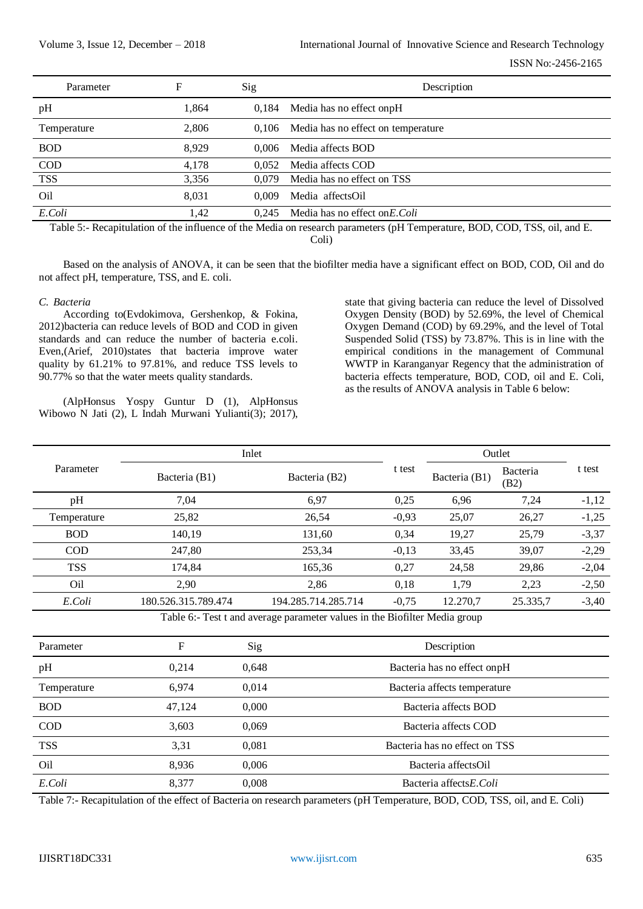| Parameter       | F     | Sig   | Description                              |
|-----------------|-------|-------|------------------------------------------|
| pH              | 1,864 |       | $0,184$ Media has no effect on pH        |
| Temperature     | 2,806 |       | 0,106 Media has no effect on temperature |
| <b>BOD</b>      | 8.929 | 0.006 | Media affects BOD                        |
| $\rm COD$       | 4,178 | 0.052 | Media affects COD                        |
| <b>TSS</b>      | 3,356 | 0.079 | Media has no effect on TSS               |
| O <sub>il</sub> | 8,031 | 0.009 | Media affectsOil                         |
| E.Coli          | 1.42  | 0.245 | Media has no effect on E. Coli           |
|                 |       |       |                                          |

Table 5:- Recapitulation of the influence of the Media on research parameters (pH Temperature, BOD, COD, TSS, oil, and E. Coli)

Based on the analysis of ANOVA, it can be seen that the biofilter media have a significant effect on BOD, COD, Oil and do not affect pH, temperature, TSS, and E. coli.

#### *C. Bacteria*

According to(Evdokimova, Gershenkop, & Fokina, 2012)bacteria can reduce levels of BOD and COD in given standards and can reduce the number of bacteria e.coli. Even,(Arief, 2010)states that bacteria improve water quality by 61.21% to 97.81%, and reduce TSS levels to 90.77% so that the water meets quality standards.

(AlpHonsus Yospy Guntur D (1), AlpHonsus Wibowo N Jati (2), L Indah Murwani Yulianti(3); 2017),

state that giving bacteria can reduce the level of Dissolved Oxygen Density (BOD) by 52.69%, the level of Chemical Oxygen Demand (COD) by 69.29%, and the level of Total Suspended Solid (TSS) by 73.87%. This is in line with the empirical conditions in the management of Communal WWTP in Karanganyar Regency that the administration of bacteria effects temperature, BOD, COD, oil and E. Coli, as the results of ANOVA analysis in Table 6 below:

|             | Inlet               |                     | Outlet  |                                   |          |         |  |
|-------------|---------------------|---------------------|---------|-----------------------------------|----------|---------|--|
| Parameter   | Bacteria (B1)       | Bacteria (B2)       | t test  | Bacteria<br>Bacteria (B1)<br>(B2) |          | t test  |  |
| pH          | 7,04                | 6,97                | 0,25    | 6,96                              | 7,24     | $-1,12$ |  |
| Temperature | 25,82               | 26,54               | $-0,93$ | 25,07                             | 26,27    | $-1,25$ |  |
| <b>BOD</b>  | 140,19              | 131,60              | 0,34    | 19,27                             | 25,79    | $-3,37$ |  |
| <b>COD</b>  | 247.80              | 253,34              | $-0,13$ | 33,45                             | 39.07    | $-2,29$ |  |
| <b>TSS</b>  | 174,84              | 165,36              | 0,27    | 24,58                             | 29,86    | $-2,04$ |  |
| Oil         | 2,90                | 2,86                | 0,18    | 1,79                              | 2,23     | $-2,50$ |  |
| E.Coli      | 180.526.315.789.474 | 194.285.714.285.714 | $-0,75$ | 12.270.7                          | 25.335,7 | $-3,40$ |  |

Table 6:- Test t and average parameter values in the Biofilter Media group

| Parameter   | F      | Sig   | Description                   |
|-------------|--------|-------|-------------------------------|
| pH          | 0.214  | 0,648 | Bacteria has no effect on pH  |
| Temperature | 6,974  | 0,014 | Bacteria affects temperature  |
| <b>BOD</b>  | 47,124 | 0,000 | Bacteria affects BOD          |
| <b>COD</b>  | 3,603  | 0,069 | Bacteria affects COD          |
| <b>TSS</b>  | 3,31   | 0,081 | Bacteria has no effect on TSS |
| Oil         | 8,936  | 0,006 | Bacteria affectsOil           |
| E.Coli      | 8.377  | 0.008 | Bacteria affectsE.Coli        |

Table 7:- Recapitulation of the effect of Bacteria on research parameters (pH Temperature, BOD, COD, TSS, oil, and E. Coli)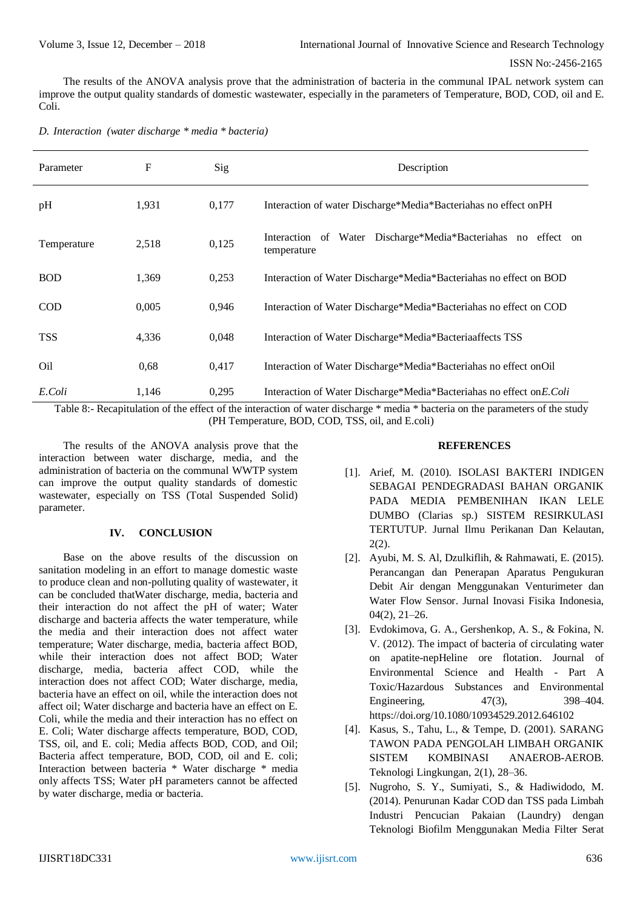The results of the ANOVA analysis prove that the administration of bacteria in the communal IPAL network system can improve the output quality standards of domestic wastewater, especially in the parameters of Temperature, BOD, COD, oil and E. Coli.

| D. Interaction (water discharge * media * bacteria) |  |  |  |
|-----------------------------------------------------|--|--|--|
|                                                     |  |  |  |

| Parameter   | F     | Sig   | Description                                                                  |
|-------------|-------|-------|------------------------------------------------------------------------------|
| pH          | 1,931 | 0,177 | Interaction of water Discharge*Media*Bacteriahas no effect on PH             |
| Temperature | 2,518 | 0,125 | Interaction of Water Discharge*Media*Bacteriahas no effect on<br>temperature |
| <b>BOD</b>  | 1,369 | 0,253 | Interaction of Water Discharge*Media*Bacteriahas no effect on BOD            |
| <b>COD</b>  | 0,005 | 0,946 | Interaction of Water Discharge*Media*Bacteriahas no effect on COD            |
| <b>TSS</b>  | 4,336 | 0,048 | Interaction of Water Discharge*Media*Bacteriaaffects TSS                     |
| Oil         | 0,68  | 0,417 | Interaction of Water Discharge*Media*Bacteriahas no effect on Oil            |
| E.Coli      | 1,146 | 0,295 | Interaction of Water Discharge*Media*Bacteriahas no effect on E. Coli        |

Table 8:- Recapitulation of the effect of the interaction of water discharge \* media \* bacteria on the parameters of the study (PH Temperature, BOD, COD, TSS, oil, and E.coli)

The results of the ANOVA analysis prove that the interaction between water discharge, media, and the administration of bacteria on the communal WWTP system can improve the output quality standards of domestic wastewater, especially on TSS (Total Suspended Solid) parameter.

# **IV. CONCLUSION**

Base on the above results of the discussion on sanitation modeling in an effort to manage domestic waste to produce clean and non-polluting quality of wastewater, it can be concluded thatWater discharge, media, bacteria and their interaction do not affect the pH of water; Water discharge and bacteria affects the water temperature, while the media and their interaction does not affect water temperature; Water discharge, media, bacteria affect BOD, while their interaction does not affect BOD; Water discharge, media, bacteria affect COD, while the interaction does not affect COD; Water discharge, media, bacteria have an effect on oil, while the interaction does not affect oil; Water discharge and bacteria have an effect on E. Coli, while the media and their interaction has no effect on E. Coli; Water discharge affects temperature, BOD, COD, TSS, oil, and E. coli; Media affects BOD, COD, and Oil; Bacteria affect temperature, BOD, COD, oil and E. coli; Interaction between bacteria \* Water discharge \* media only affects TSS; Water pH parameters cannot be affected by water discharge, media or bacteria.

# **REFERENCES**

- [1]. Arief, M. (2010). ISOLASI BAKTERI INDIGEN SEBAGAI PENDEGRADASI BAHAN ORGANIK PADA MEDIA PEMBENIHAN IKAN LELE DUMBO (Clarias sp.) SISTEM RESIRKULASI TERTUTUP. Jurnal Ilmu Perikanan Dan Kelautan, 2(2).
- [2]. Ayubi, M. S. Al, Dzulkiflih, & Rahmawati, E. (2015). Perancangan dan Penerapan Aparatus Pengukuran Debit Air dengan Menggunakan Venturimeter dan Water Flow Sensor. Jurnal Inovasi Fisika Indonesia, 04(2), 21–26.
- [3]. Evdokimova, G. A., Gershenkop, A. S., & Fokina, N. V. (2012). The impact of bacteria of circulating water on apatite-nepHeline ore flotation. Journal of Environmental Science and Health - Part A Toxic/Hazardous Substances and Environmental Engineering, 47(3), 398–404. https://doi.org/10.1080/10934529.2012.646102
- [4]. Kasus, S., Tahu, L., & Tempe, D. (2001). SARANG TAWON PADA PENGOLAH LIMBAH ORGANIK SISTEM KOMBINASI ANAEROB-AEROB. Teknologi Lingkungan, 2(1), 28–36.
- [5]. Nugroho, S. Y., Sumiyati, S., & Hadiwidodo, M. (2014). Penurunan Kadar COD dan TSS pada Limbah Industri Pencucian Pakaian (Laundry) dengan Teknologi Biofilm Menggunakan Media Filter Serat